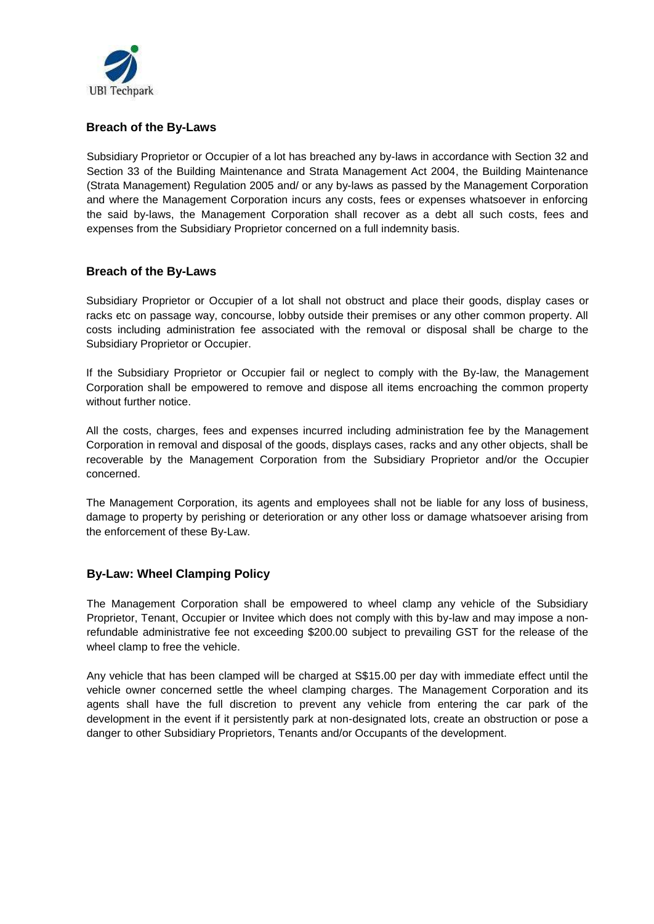

## **Breach of the By-Laws**

Subsidiary Proprietor or Occupier of a lot has breached any by-laws in accordance with Section 32 and Section 33 of the Building Maintenance and Strata Management Act 2004, the Building Maintenance (Strata Management) Regulation 2005 and/ or any by-laws as passed by the Management Corporation and where the Management Corporation incurs any costs, fees or expenses whatsoever in enforcing the said by-laws, the Management Corporation shall recover as a debt all such costs, fees and expenses from the Subsidiary Proprietor concerned on a full indemnity basis.

#### **Breach of the By-Laws**

Subsidiary Proprietor or Occupier of a lot shall not obstruct and place their goods, display cases or racks etc on passage way, concourse, lobby outside their premises or any other common property. All costs including administration fee associated with the removal or disposal shall be charge to the Subsidiary Proprietor or Occupier.

If the Subsidiary Proprietor or Occupier fail or neglect to comply with the By-law, the Management Corporation shall be empowered to remove and dispose all items encroaching the common property without further notice.

All the costs, charges, fees and expenses incurred including administration fee by the Management Corporation in removal and disposal of the goods, displays cases, racks and any other objects, shall be recoverable by the Management Corporation from the Subsidiary Proprietor and/or the Occupier concerned.

The Management Corporation, its agents and employees shall not be liable for any loss of business, damage to property by perishing or deterioration or any other loss or damage whatsoever arising from the enforcement of these By-Law.

#### **By-Law: Wheel Clamping Policy**

The Management Corporation shall be empowered to wheel clamp any vehicle of the Subsidiary Proprietor, Tenant, Occupier or Invitee which does not comply with this by-law and may impose a nonrefundable administrative fee not exceeding \$200.00 subject to prevailing GST for the release of the wheel clamp to free the vehicle.

Any vehicle that has been clamped will be charged at S\$15.00 per day with immediate effect until the vehicle owner concerned settle the wheel clamping charges. The Management Corporation and its agents shall have the full discretion to prevent any vehicle from entering the car park of the development in the event if it persistently park at non-designated lots, create an obstruction or pose a danger to other Subsidiary Proprietors, Tenants and/or Occupants of the development.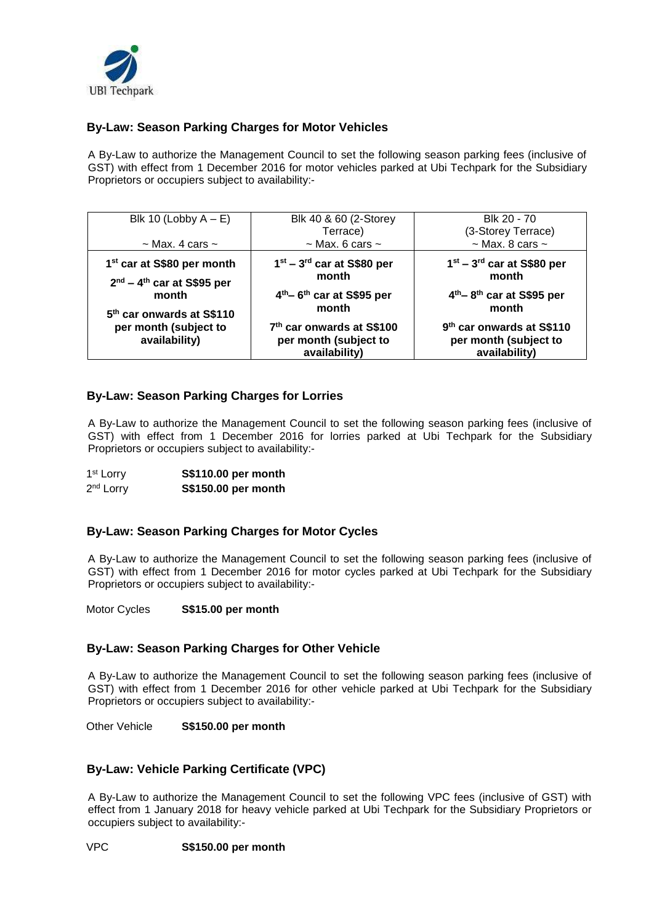

# **By-Law: Season Parking Charges for Motor Vehicles**

A By-Law to authorize the Management Council to set the following season parking fees (inclusive of GST) with effect from 1 December 2016 for motor vehicles parked at Ubi Techpark for the Subsidiary Proprietors or occupiers subject to availability:-

| Blk 10 (Lobby $A - E$ )<br>$\sim$ Max. 4 cars $\sim$                                                                                                               | Blk 40 & 60 (2-Storey<br>Terrace)<br>$\sim$ Max. 6 cars $\sim$                                                                                                                         | Blk 20 - 70<br>(3-Storey Terrace)<br>$\sim$ Max. 8 cars $\sim$                                                                                                                         |  |
|--------------------------------------------------------------------------------------------------------------------------------------------------------------------|----------------------------------------------------------------------------------------------------------------------------------------------------------------------------------------|----------------------------------------------------------------------------------------------------------------------------------------------------------------------------------------|--|
| 1 <sup>st</sup> car at S\$80 per month<br>$2nd - 4th$ car at S\$95 per<br>month<br>5 <sup>th</sup> car onwards at S\$110<br>per month (subject to<br>availability) | $1st - 3rd$ car at S\$80 per<br>month<br>4 <sup>th</sup> -6 <sup>th</sup> car at S\$95 per<br>month<br>7 <sup>th</sup> car onwards at S\$100<br>per month (subject to<br>availability) | $1st - 3rd$ car at S\$80 per<br>month<br>4 <sup>th</sup> -8 <sup>th</sup> car at S\$95 per<br>month<br>9 <sup>th</sup> car onwards at S\$110<br>per month (subject to<br>availability) |  |

#### **By-Law: Season Parking Charges for Lorries**

A By-Law to authorize the Management Council to set the following season parking fees (inclusive of GST) with effect from 1 December 2016 for lorries parked at Ubi Techpark for the Subsidiary Proprietors or occupiers subject to availability:-

| 1 <sup>st</sup> Lorry | S\$110.00 per month |
|-----------------------|---------------------|
| 2 <sup>nd</sup> Lorry | S\$150.00 per month |

#### **By-Law: Season Parking Charges for Motor Cycles**

A By-Law to authorize the Management Council to set the following season parking fees (inclusive of GST) with effect from 1 December 2016 for motor cycles parked at Ubi Techpark for the Subsidiary Proprietors or occupiers subject to availability:-

Motor Cycles **S\$15.00 per month** 

#### **By-Law: Season Parking Charges for Other Vehicle**

A By-Law to authorize the Management Council to set the following season parking fees (inclusive of GST) with effect from 1 December 2016 for other vehicle parked at Ubi Techpark for the Subsidiary Proprietors or occupiers subject to availability:-

Other Vehicle **S\$150.00 per month** 

#### **By-Law: Vehicle Parking Certificate (VPC)**

A By-Law to authorize the Management Council to set the following VPC fees (inclusive of GST) with effect from 1 January 2018 for heavy vehicle parked at Ubi Techpark for the Subsidiary Proprietors or occupiers subject to availability:-

VPC **S\$150.00 per month**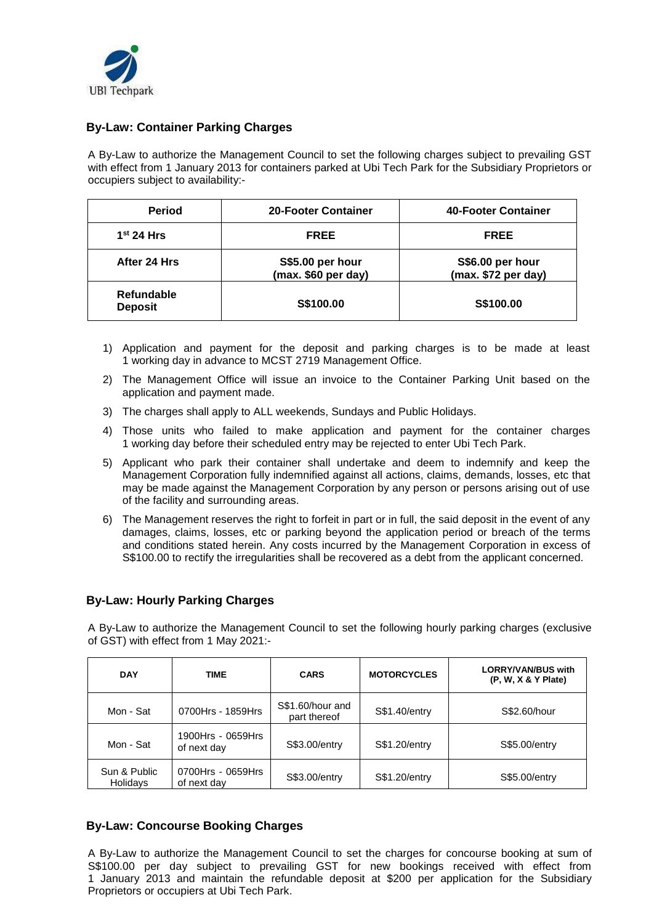

## **By-Law: Container Parking Charges**

A By-Law to authorize the Management Council to set the following charges subject to prevailing GST with effect from 1 January 2013 for containers parked at Ubi Tech Park for the Subsidiary Proprietors or occupiers subject to availability:-

| <b>Period</b>                       | <b>20-Footer Container</b>              | 40-Footer Container                     |
|-------------------------------------|-----------------------------------------|-----------------------------------------|
| 1 <sup>st</sup> 24 Hrs              | <b>FREE</b>                             | <b>FREE</b>                             |
| After 24 Hrs                        | S\$5.00 per hour<br>(max. \$60 per day) | S\$6.00 per hour<br>(max. \$72 per day) |
| <b>Refundable</b><br><b>Deposit</b> | S\$100.00                               | S\$100.00                               |

- 1) Application and payment for the deposit and parking charges is to be made at least 1 working day in advance to MCST 2719 Management Office.
- 2) The Management Office will issue an invoice to the Container Parking Unit based on the application and payment made.
- 3) The charges shall apply to ALL weekends, Sundays and Public Holidays.
- 4) Those units who failed to make application and payment for the container charges 1 working day before their scheduled entry may be rejected to enter Ubi Tech Park.
- 5) Applicant who park their container shall undertake and deem to indemnify and keep the Management Corporation fully indemnified against all actions, claims, demands, losses, etc that may be made against the Management Corporation by any person or persons arising out of use of the facility and surrounding areas.
- 6) The Management reserves the right to forfeit in part or in full, the said deposit in the event of any damages, claims, losses, etc or parking beyond the application period or breach of the terms and conditions stated herein. Any costs incurred by the Management Corporation in excess of S\$100.00 to rectify the irregularities shall be recovered as a debt from the applicant concerned.

#### **By-Law: Hourly Parking Charges**

A By-Law to authorize the Management Council to set the following hourly parking charges (exclusive of GST) with effect from 1 May 2021:-

| <b>DAY</b>               | <b>TIME</b>                      | <b>CARS</b>                      | <b>MOTORCYCLES</b> | <b>LORRY/VAN/BUS with</b><br>$(P, W, X & Y$ Plate) |
|--------------------------|----------------------------------|----------------------------------|--------------------|----------------------------------------------------|
| Mon - Sat                | 0700Hrs - 1859Hrs                | S\$1.60/hour and<br>part thereof | S\$1.40/entry      | S\$2.60/hour                                       |
| Mon - Sat                | 1900Hrs - 0659Hrs<br>of next day | S\$3.00/entry                    | S\$1.20/entry      | <b>S\$5.00/entry</b>                               |
| Sun & Public<br>Holidays | 0700Hrs - 0659Hrs<br>of next day | S\$3.00/entry                    | S\$1.20/entry      | S\$5.00/entry                                      |

#### **By-Law: Concourse Booking Charges**

A By-Law to authorize the Management Council to set the charges for concourse booking at sum of S\$100.00 per day subject to prevailing GST for new bookings received with effect from 1 January 2013 and maintain the refundable deposit at \$200 per application for the Subsidiary Proprietors or occupiers at Ubi Tech Park.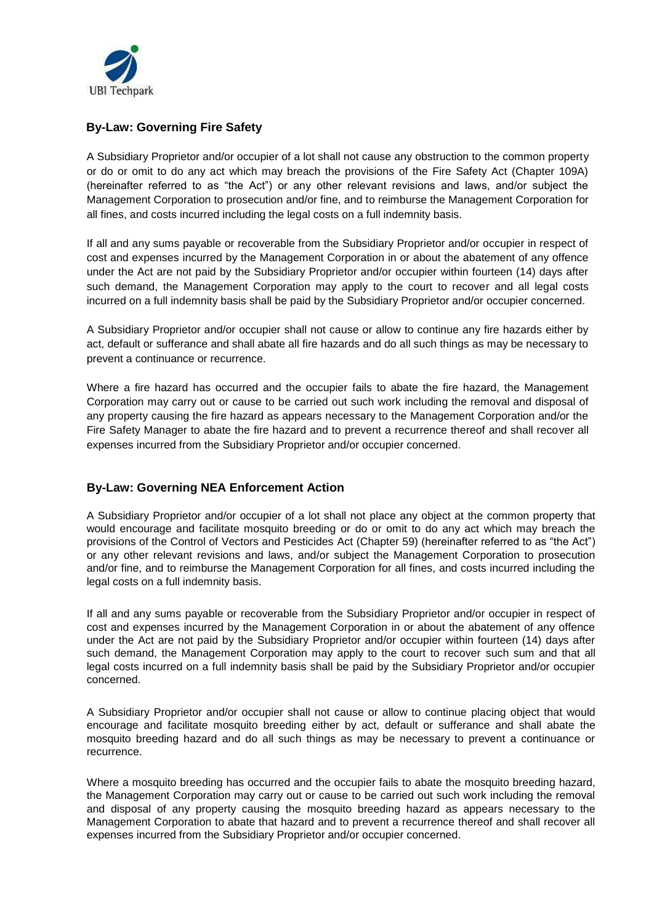

## **By-Law: Governing Fire Safety**

A Subsidiary Proprietor and/or occupier of a lot shall not cause any obstruction to the common property or do or omit to do any act which may breach the provisions of the Fire Safety Act (Chapter 109A) (hereinafter referred to as "the Act") or any other relevant revisions and laws, and/or subject the Management Corporation to prosecution and/or fine, and to reimburse the Management Corporation for all fines, and costs incurred including the legal costs on a full indemnity basis.

If all and any sums payable or recoverable from the Subsidiary Proprietor and/or occupier in respect of cost and expenses incurred by the Management Corporation in or about the abatement of any offence under the Act are not paid by the Subsidiary Proprietor and/or occupier within fourteen (14) days after such demand, the Management Corporation may apply to the court to recover and all legal costs incurred on a full indemnity basis shall be paid by the Subsidiary Proprietor and/or occupier concerned.

A Subsidiary Proprietor and/or occupier shall not cause or allow to continue any fire hazards either by act, default or sufferance and shall abate all fire hazards and do all such things as may be necessary to prevent a continuance or recurrence.

Where a fire hazard has occurred and the occupier fails to abate the fire hazard, the Management Corporation may carry out or cause to be carried out such work including the removal and disposal of any property causing the fire hazard as appears necessary to the Management Corporation and/or the Fire Safety Manager to abate the fire hazard and to prevent a recurrence thereof and shall recover all expenses incurred from the Subsidiary Proprietor and/or occupier concerned.

#### **By-Law: Governing NEA Enforcement Action**

A Subsidiary Proprietor and/or occupier of a lot shall not place any object at the common property that would encourage and facilitate mosquito breeding or do or omit to do any act which may breach the provisions of the Control of Vectors and Pesticides Act (Chapter 59) (hereinafter referred to as "the Act") or any other relevant revisions and laws, and/or subject the Management Corporation to prosecution and/or fine, and to reimburse the Management Corporation for all fines, and costs incurred including the legal costs on a full indemnity basis.

If all and any sums payable or recoverable from the Subsidiary Proprietor and/or occupier in respect of cost and expenses incurred by the Management Corporation in or about the abatement of any offence under the Act are not paid by the Subsidiary Proprietor and/or occupier within fourteen (14) days after such demand, the Management Corporation may apply to the court to recover such sum and that all legal costs incurred on a full indemnity basis shall be paid by the Subsidiary Proprietor and/or occupier concerned.

A Subsidiary Proprietor and/or occupier shall not cause or allow to continue placing object that would encourage and facilitate mosquito breeding either by act, default or sufferance and shall abate the mosquito breeding hazard and do all such things as may be necessary to prevent a continuance or recurrence.

Where a mosquito breeding has occurred and the occupier fails to abate the mosquito breeding hazard, the Management Corporation may carry out or cause to be carried out such work including the removal and disposal of any property causing the mosquito breeding hazard as appears necessary to the Management Corporation to abate that hazard and to prevent a recurrence thereof and shall recover all expenses incurred from the Subsidiary Proprietor and/or occupier concerned.